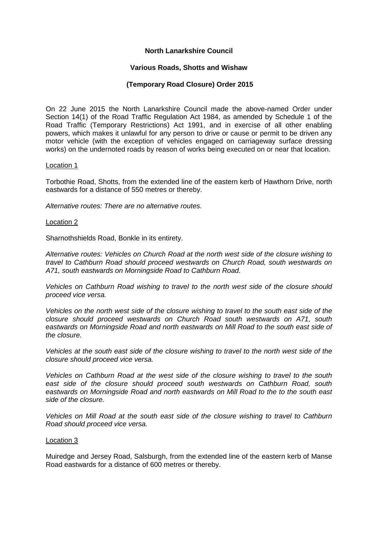# **North Lanarkshire Council**

# **Various Roads, Shotts and Wishaw**

# **(Temporary Road Closure) Order 2015**

On 22 June 2015 the North Lanarkshire Council made the above-named Order under Section 14(1) of the Road Traffic Regulation Act 1984, as amended by Schedule 1 of the Road Traffic (Temporary Restrictions) Act 1991, and in exercise of all other enabling powers, which makes it unlawful for any person to drive or cause or permit to be driven any motor vehicle (with the exception of vehicles engaged on carriageway surface dressing works) on the undernoted roads by reason of works being executed on or near that location.

### Location 1

Torbothie Road, Shotts, from the extended line of the eastern kerb of Hawthorn Drive, north eastwards for a distance of 550 metres or thereby.

*Alternative routes: There are no alternative routes.*

### Location 2

Sharnothshields Road, Bonkle in its entirety.

*Alternative routes: Vehicles on Church Road at the north west side of the closure wishing to travel to Cathburn Road should proceed westwards on Church Road, south westwards on A71, south eastwards on Morningside Road to Cathburn Road.*

*Vehicles on Cathburn Road wishing to travel to the north west side of the closure should proceed vice versa.*

*Vehicles on the north west side of the closure wishing to travel to the south east side of the closure should proceed westwards on Church Road south westwards on A71, south eastwards on Morningside Road and north eastwards on Mill Road to the south east side of the closure.*

*Vehicles at the south east side of the closure wishing to travel to the north west side of the closure should proceed vice versa.*

*Vehicles on Cathburn Road at the west side of the closure wishing to travel to the south east side of the closure should proceed south westwards on Cathburn Road, south eastwards on Morningside Road and north eastwards on Mill Road to the to the south east side of the closure.*

*Vehicles on Mill Road at the south east side of the closure wishing to travel to Cathburn Road should proceed vice versa.*

#### Location 3

Muiredge and Jersey Road, Salsburgh, from the extended line of the eastern kerb of Manse Road eastwards for a distance of 600 metres or thereby.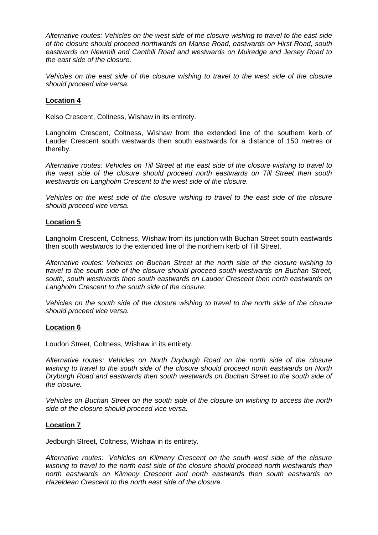*Alternative routes: Vehicles on the west side of the closure wishing to travel to the east side of the closure should proceed northwards on Manse Road, eastwards on Hirst Road, south eastwards on Newmill and Canthill Road and westwards on Muiredge and Jersey Road to the east side of the closure.*

*Vehicles on the east side of the closure wishing to travel to the west side of the closure should proceed vice versa.*

# **Location 4**

Kelso Crescent, Coltness, Wishaw in its entirety.

Langholm Crescent, Coltness, Wishaw from the extended line of the southern kerb of Lauder Crescent south westwards then south eastwards for a distance of 150 metres or thereby.

*Alternative routes: Vehicles on Till Street at the east side of the closure wishing to travel to the west side of the closure should proceed north eastwards on Till Street then south westwards on Langholm Crescent to the west side of the closure.*

*Vehicles on the west side of the closure wishing to travel to the east side of the closure should proceed vice versa.*

## **Location 5**

Langholm Crescent, Coltness, Wishaw from its junction with Buchan Street south eastwards then south westwards to the extended line of the northern kerb of Till Street.

*Alternative routes: Vehicles on Buchan Street at the north side of the closure wishing to travel to the south side of the closure should proceed south westwards on Buchan Street, south, south westwards then south eastwards on Lauder Crescent then north eastwards on Langholm Crescent to the south side of the closure.*

*Vehicles on the south side of the closure wishing to travel to the north side of the closure should proceed vice versa.*

### **Location 6**

Loudon Street, Coltness, Wishaw in its entirety.

*Alternative routes: Vehicles on North Dryburgh Road on the north side of the closure wishing to travel to the south side of the closure should proceed north eastwards on North Dryburgh Road and eastwards then south westwards on Buchan Street to the south side of the closure.*

*Vehicles on Buchan Street on the south side of the closure on wishing to access the north side of the closure should proceed vice versa.*

### **Location 7**

Jedburgh Street, Coltness, Wishaw in its entirety.

*Alternative routes: Vehicles on Kilmeny Crescent on the south west side of the closure wishing to travel to the north east side of the closure should proceed north westwards then north eastwards on Kilmeny Crescent and north eastwards then south eastwards on Hazeldean Crescent to the north east side of the closure.*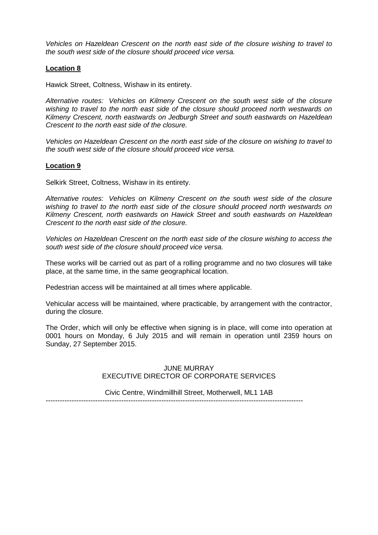*Vehicles on Hazeldean Crescent on the north east side of the closure wishing to travel to the south west side of the closure should proceed vice versa.*

## **Location 8**

Hawick Street, Coltness, Wishaw in its entirety.

*Alternative routes: Vehicles on Kilmeny Crescent on the south west side of the closure wishing to travel to the north east side of the closure should proceed north westwards on Kilmeny Crescent, north eastwards on Jedburgh Street and south eastwards on Hazeldean Crescent to the north east side of the closure.*

*Vehicles on Hazeldean Crescent on the north east side of the closure on wishing to travel to the south west side of the closure should proceed vice versa.*

## **Location 9**

Selkirk Street, Coltness, Wishaw in its entirety.

*Alternative routes: Vehicles on Kilmeny Crescent on the south west side of the closure wishing to travel to the north east side of the closure should proceed north westwards on Kilmeny Crescent, north eastwards on Hawick Street and south eastwards on Hazeldean Crescent to the north east side of the closure.*

*Vehicles on Hazeldean Crescent on the north east side of the closure wishing to access the south west side of the closure should proceed vice versa.*

These works will be carried out as part of a rolling programme and no two closures will take place, at the same time, in the same geographical location.

Pedestrian access will be maintained at all times where applicable.

Vehicular access will be maintained, where practicable, by arrangement with the contractor, during the closure.

The Order, which will only be effective when signing is in place, will come into operation at 0001 hours on Monday, 6 July 2015 and will remain in operation until 2359 hours on Sunday, 27 September 2015.

# JUNE MURRAY EXECUTIVE DIRECTOR OF CORPORATE SERVICES

Civic Centre, Windmillhill Street, Motherwell, ML1 1AB -------------------------------------------------------------------------------------------------------------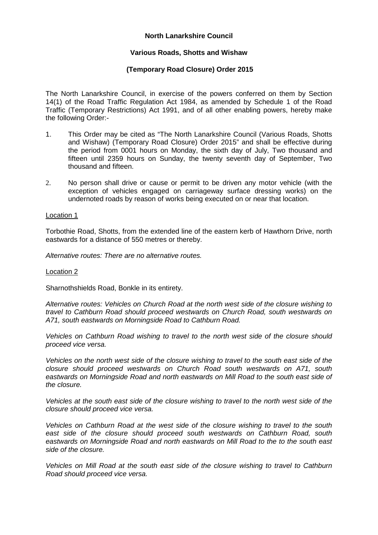# **North Lanarkshire Council**

## **Various Roads, Shotts and Wishaw**

# **(Temporary Road Closure) Order 2015**

The North Lanarkshire Council, in exercise of the powers conferred on them by Section 14(1) of the Road Traffic Regulation Act 1984, as amended by Schedule 1 of the Road Traffic (Temporary Restrictions) Act 1991, and of all other enabling powers, hereby make the following Order:-

- 1. This Order may be cited as "The North Lanarkshire Council (Various Roads, Shotts and Wishaw) (Temporary Road Closure) Order 2015" and shall be effective during the period from 0001 hours on Monday, the sixth day of July, Two thousand and fifteen until 2359 hours on Sunday, the twenty seventh day of September, Two thousand and fifteen.
- 2. No person shall drive or cause or permit to be driven any motor vehicle (with the exception of vehicles engaged on carriageway surface dressing works) on the undernoted roads by reason of works being executed on or near that location.

#### Location 1

Torbothie Road, Shotts, from the extended line of the eastern kerb of Hawthorn Drive, north eastwards for a distance of 550 metres or thereby.

*Alternative routes: There are no alternative routes.*

#### Location 2

Sharnothshields Road, Bonkle in its entirety.

*Alternative routes: Vehicles on Church Road at the north west side of the closure wishing to travel to Cathburn Road should proceed westwards on Church Road, south westwards on A71, south eastwards on Morningside Road to Cathburn Road.*

*Vehicles on Cathburn Road wishing to travel to the north west side of the closure should proceed vice versa.*

*Vehicles on the north west side of the closure wishing to travel to the south east side of the closure should proceed westwards on Church Road south westwards on A71, south eastwards on Morningside Road and north eastwards on Mill Road to the south east side of the closure.*

*Vehicles at the south east side of the closure wishing to travel to the north west side of the closure should proceed vice versa.*

*Vehicles on Cathburn Road at the west side of the closure wishing to travel to the south east side of the closure should proceed south westwards on Cathburn Road, south eastwards on Morningside Road and north eastwards on Mill Road to the to the south east side of the closure.*

*Vehicles on Mill Road at the south east side of the closure wishing to travel to Cathburn Road should proceed vice versa.*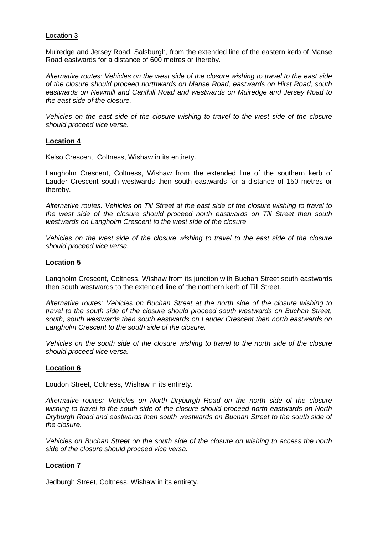### Location 3

Muiredge and Jersey Road, Salsburgh, from the extended line of the eastern kerb of Manse Road eastwards for a distance of 600 metres or thereby.

*Alternative routes: Vehicles on the west side of the closure wishing to travel to the east side of the closure should proceed northwards on Manse Road, eastwards on Hirst Road, south eastwards on Newmill and Canthill Road and westwards on Muiredge and Jersey Road to the east side of the closure.*

*Vehicles on the east side of the closure wishing to travel to the west side of the closure should proceed vice versa.*

## **Location 4**

Kelso Crescent, Coltness, Wishaw in its entirety.

Langholm Crescent, Coltness, Wishaw from the extended line of the southern kerb of Lauder Crescent south westwards then south eastwards for a distance of 150 metres or thereby.

*Alternative routes: Vehicles on Till Street at the east side of the closure wishing to travel to the west side of the closure should proceed north eastwards on Till Street then south westwards on Langholm Crescent to the west side of the closure.*

*Vehicles on the west side of the closure wishing to travel to the east side of the closure should proceed vice versa.*

## **Location 5**

Langholm Crescent, Coltness, Wishaw from its junction with Buchan Street south eastwards then south westwards to the extended line of the northern kerb of Till Street.

*Alternative routes: Vehicles on Buchan Street at the north side of the closure wishing to travel to the south side of the closure should proceed south westwards on Buchan Street, south, south westwards then south eastwards on Lauder Crescent then north eastwards on Langholm Crescent to the south side of the closure.*

*Vehicles on the south side of the closure wishing to travel to the north side of the closure should proceed vice versa.*

### **Location 6**

Loudon Street, Coltness, Wishaw in its entirety.

*Alternative routes: Vehicles on North Dryburgh Road on the north side of the closure wishing to travel to the south side of the closure should proceed north eastwards on North Dryburgh Road and eastwards then south westwards on Buchan Street to the south side of the closure.*

*Vehicles on Buchan Street on the south side of the closure on wishing to access the north side of the closure should proceed vice versa.*

# **Location 7**

Jedburgh Street, Coltness, Wishaw in its entirety.